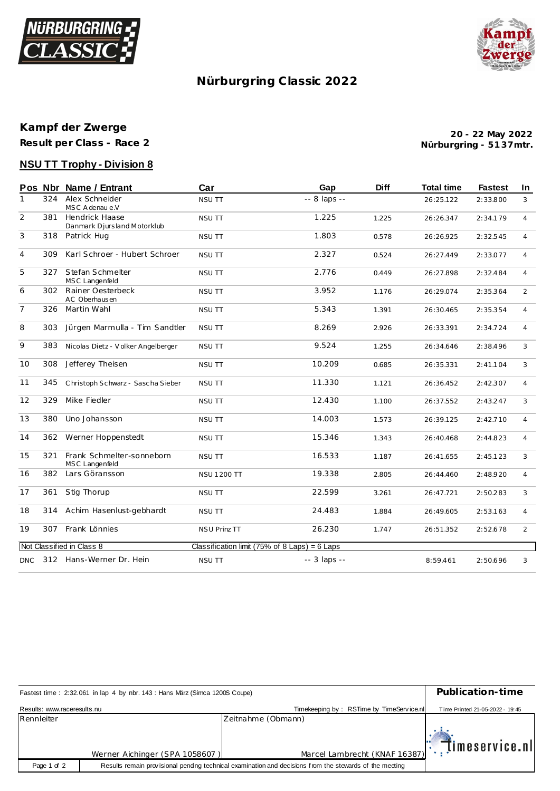



# **Nürburgring C lassic 2022**

## **Kampf der Zwerge Result per Class - Race 2**

**Nürburgring - 51 37mtr. 20 - 22 May 2022**

## **NSU TT Trophy - Division 8**

|                |     | Pos Nbr Name / Entrant                               | Car                                             | Gap          | <b>Diff</b> | <b>Total time</b> | <b>Fastest</b> | In.            |
|----------------|-----|------------------------------------------------------|-------------------------------------------------|--------------|-------------|-------------------|----------------|----------------|
| 1              | 324 | Alex Schneider<br>MSC A denau e.V                    | <b>NSU TT</b>                                   | -- 8 laps -- |             | 26:25.122         | 2:33.800       | 3              |
| 2              | 381 | <b>Hendrick Haase</b><br>Danmark Djursland Motorklub | <b>NSU TT</b>                                   | 1.225        | 1.225       | 26:26.347         | 2:34.179       | $\overline{4}$ |
| 3              | 318 | Patrick Hug                                          | <b>NSU TT</b>                                   | 1.803        | 0.578       | 26:26.925         | 2:32.545       | $\overline{4}$ |
| $\overline{4}$ | 309 | Karl Schroer - Hubert Schroer                        | <b>NSU TT</b>                                   | 2.327        | 0.524       | 26:27.449         | 2:33.077       | $\overline{4}$ |
| 5              | 327 | Stefan Schmelter<br>MSC Langenfeld                   | <b>NSU TT</b>                                   | 2.776        | 0.449       | 26:27.898         | 2:32.484       | $\overline{4}$ |
| 6              |     | 302 Rainer Oesterbeck<br>AC Oberhausen               | <b>NSU TT</b>                                   | 3.952        | 1.176       | 26:29.074         | 2:35.364       | 2              |
| $\overline{7}$ | 326 | Martin Wahl                                          | NSU TT                                          | 5.343        | 1.391       | 26:30.465         | 2:35.354       | $\overline{4}$ |
| 8              | 303 | Jürgen Marmulla - Tim Sandtler                       | <b>NSU TT</b>                                   | 8.269        | 2.926       | 26:33.391         | 2:34.724       | $\overline{4}$ |
| 9              | 383 | Nicolas Dietz - Volker Angelberger                   | <b>NSU TT</b>                                   | 9.524        | 1.255       | 26:34.646         | 2:38.496       | 3              |
| 10             | 308 | Jefferey Theisen                                     | <b>NSU TT</b>                                   | 10.209       | 0.685       | 26:35.331         | 2:41.104       | 3              |
| 11             | 345 | Christoph Schwarz - Sascha Sieber                    | <b>NSU TT</b>                                   | 11.330       | 1.121       | 26:36.452         | 2:42.307       | $\overline{4}$ |
| 12             | 329 | Mike Fiedler                                         | <b>NSU TT</b>                                   | 12.430       | 1.100       | 26:37.552         | 2:43.247       | 3              |
| 13             | 380 | Uno Johansson                                        | <b>NSU TT</b>                                   | 14.003       | 1.573       | 26:39.125         | 2:42.710       | $\overline{4}$ |
| 14             | 362 | Werner Hoppenstedt                                   | <b>NSU TT</b>                                   | 15.346       | 1.343       | 26:40.468         | 2:44.823       | $\overline{4}$ |
| 15             | 321 | Frank Schmelter-sonneborn<br>MSC Langenfeld          | NSU TT                                          | 16.533       | 1.187       | 26:41.655         | 2:45.123       | 3              |
| 16             | 382 | Lars Göransson                                       | <b>NSU 1200 TT</b>                              | 19.338       | 2.805       | 26:44.460         | 2:48.920       | $\overline{4}$ |
| 17             | 361 | Stig Thorup                                          | NSU TT                                          | 22.599       | 3.261       | 26:47.721         | 2:50.283       | 3              |
| 18             | 314 | Achim Hasenlust-gebhardt                             | <b>NSU TT</b>                                   | 24.483       | 1.884       | 26:49.605         | 2:53.163       | $\overline{4}$ |
| 19             | 307 | Frank Lönnies                                        | NSU Prinz TT                                    | 26.230       | 1.747       | 26:51.352         | 2:52.678       | $\overline{2}$ |
|                |     | Not Classified in Class 8                            | Classification limit (75% of 8 Laps) = $6$ Laps |              |             |                   |                |                |
| <b>DNC</b>     |     | 312 Hans-Werner Dr. Hein                             | <b>NSU TT</b>                                   | -- 3 laps -- |             | 8:59.461          | 2:50.696       | 3              |

| Fastest time: 2:32.061 in lap 4 by nbr. 143: Hans März (Simca 1200S Coupe) | Publication-time               |                                                                                                         |                                             |
|----------------------------------------------------------------------------|--------------------------------|---------------------------------------------------------------------------------------------------------|---------------------------------------------|
| Results: www.raceresults.nu                                                |                                | Timekeeping by: RSTime by TimeService.nl                                                                | Time Printed 21-05-2022 - 19:45             |
| Rennleiter                                                                 |                                | Zeitnahme (Obmann)                                                                                      |                                             |
|                                                                            | Werner Aichinger (SPA 1058607) | Marcel Lambrecht (KNAF 16387)                                                                           | $\left\Vert \cdot\right\Vert$ imeservice.nl |
| Page 1 of 2                                                                |                                | Results remain provisional pending technical examination and decisions from the stewards of the meeting |                                             |